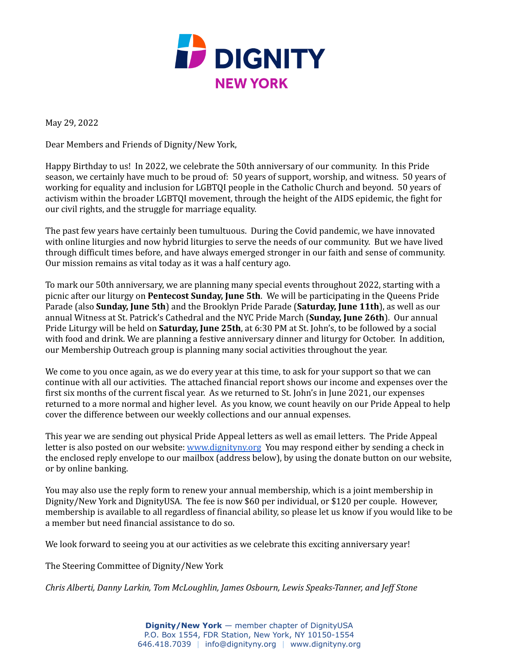

May 29, 2022

Dear Members and Friends of Dignity/New York,

Happy Birthday to us! In 2022, we celebrate the 50th anniversary of our community. In this Pride season, we certainly have much to be proud of: 50 years of support, worship, and witness. 50 years of working for equality and inclusion for LGBTQI people in the Catholic Church and beyond. 50 years of activism within the broader LGBTQI movement, through the height of the AIDS epidemic, the fight for our civil rights, and the struggle for marriage equality.

The past few years have certainly been tumultuous. During the Covid pandemic, we have innovated with online liturgies and now hybrid liturgies to serve the needs of our community. But we have lived through difficult times before, and have always emerged stronger in our faith and sense of community. Our mission remains as vital today as it was a half century ago.

To mark our 50th anniversary, we are planning many special events throughout 2022, starting with a picnic after our liturgy on **Pentecost Sunday, June 5th**. We will be participating in the Queens Pride Parade (also **Sunday, June 5th**) and the Brooklyn Pride Parade (**Saturday, June 11th**), as well as our annual Witness at St. Patrick's Cathedral and the NYC Pride March (**Sunday, June 26th**). Our annual Pride Liturgy will be held on **Saturday, June 25th**, at 6:30 PM at St. John's, to be followed by a social with food and drink. We are planning a festive anniversary dinner and liturgy for October. In addition, our Membership Outreach group is planning many social activities throughout the year.

We come to you once again, as we do every year at this time, to ask for your support so that we can continue with all our activities. The attached financial report shows our income and expenses over the first six months of the current fiscal year. As we returned to St. John's in June 2021, our expenses returned to a more normal and higher level. As you know, we count heavily on our Pride Appeal to help cover the difference between our weekly collections and our annual expenses.

This year we are sending out physical Pride Appeal letters as well as email letters. The Pride Appeal letter is also posted on our website: [www.dignityny.org](http://www.dignityny.org) You may respond either by sending a check in the enclosed reply envelope to our mailbox (address below), by using the donate button on our website, or by online banking.

You may also use the reply form to renew your annual membership, which is a joint membership in Dignity/New York and DignityUSA. The fee is now \$60 per individual, or \$120 per couple. However, membership is available to all regardless of financial ability, so please let us know if you would like to be a member but need financial assistance to do so.

We look forward to seeing you at our activities as we celebrate this exciting anniversary year!

The Steering Committee of Dignity/New York

*Chris Alberti, Danny Larkin, Tom McLoughlin, James Osbourn, Lewis Speaks-Tanner, and Jef Stone*

**Dignity/New York** — member chapter of DignityUSA P.O. Box 1554, FDR Station, New York, NY 10150-1554 646.418.7039 | info@dignityny.org | www.dignityny.org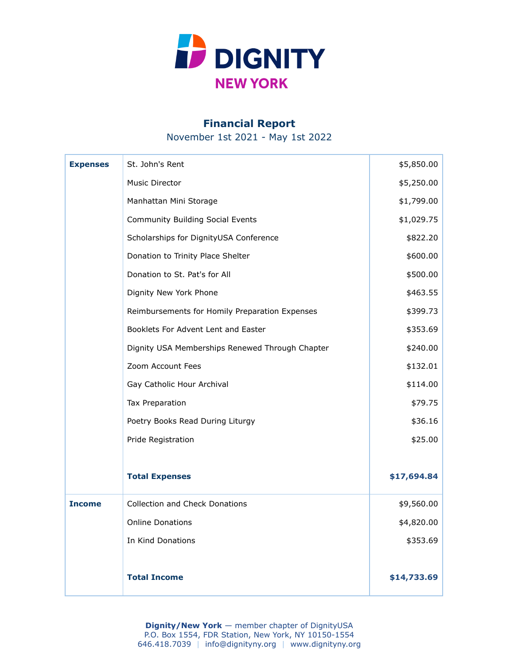

## **Financial Report**

November 1st 2021 - May 1st 2022

| <b>Expenses</b> | St. John's Rent                                 | \$5,850.00  |
|-----------------|-------------------------------------------------|-------------|
|                 | <b>Music Director</b>                           | \$5,250.00  |
|                 | Manhattan Mini Storage                          | \$1,799.00  |
|                 | <b>Community Building Social Events</b>         | \$1,029.75  |
|                 | Scholarships for DignityUSA Conference          | \$822.20    |
|                 | Donation to Trinity Place Shelter               | \$600.00    |
|                 | Donation to St. Pat's for All                   | \$500.00    |
|                 | Dignity New York Phone                          | \$463.55    |
|                 | Reimbursements for Homily Preparation Expenses  | \$399.73    |
|                 | Booklets For Advent Lent and Easter             | \$353.69    |
|                 | Dignity USA Memberships Renewed Through Chapter | \$240.00    |
|                 | Zoom Account Fees                               | \$132.01    |
|                 | Gay Catholic Hour Archival                      | \$114.00    |
|                 | Tax Preparation                                 | \$79.75     |
|                 | Poetry Books Read During Liturgy                | \$36.16     |
|                 | Pride Registration                              | \$25.00     |
|                 |                                                 |             |
|                 | <b>Total Expenses</b>                           | \$17,694.84 |
| <b>Income</b>   | <b>Collection and Check Donations</b>           | \$9,560.00  |
|                 | <b>Online Donations</b>                         | \$4,820.00  |
|                 | In Kind Donations                               | \$353.69    |
|                 |                                                 |             |
|                 | <b>Total Income</b>                             | \$14,733.69 |

**Dignity/New York** — member chapter of DignityUSA P.O. Box 1554, FDR Station, New York, NY 10150-1554 646.418.7039 | info@dignityny.org | www.dignityny.org